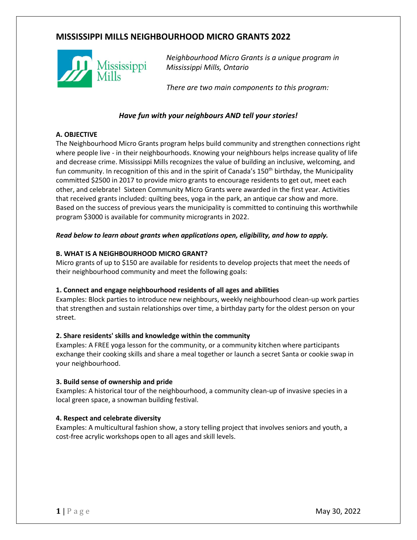# **MISSISSIPPI MILLS NEIGHBOURHOOD MICRO GRANTS 2022**



*Neighbourhood Micro Grants is a unique program in Mississippi Mills, Ontario*

*There are two main components to this program:* 

# *Have fun with your neighbours AND tell your stories!*

## **A. OBJECTIVE**

The Neighbourhood Micro Grants program helps build community and strengthen connections right where people live - in their neighbourhoods. Knowing your neighbours helps increase quality of life and decrease crime. Mississippi Mills recognizes the value of building an inclusive, welcoming, and fun community. In recognition of this and in the spirit of Canada's 150<sup>th</sup> birthday, the Municipality committed \$2500 in 2017 to provide micro grants to encourage residents to get out, meet each other, and celebrate! Sixteen Community Micro Grants were awarded in the first year. Activities that received grants included: quilting bees, yoga in the park, an antique car show and more. Based on the success of previous years the municipality is committed to continuing this worthwhile program \$3000 is available for community microgrants in 2022.

#### *Read below to learn about grants when applications open, eligibility, and how to apply.*

#### **B. WHAT IS A NEIGHBOURHOOD MICRO GRANT?**

Micro grants of up to \$150 are available for residents to develop projects that meet the needs of their neighbourhood community and meet the following goals:

#### **1. Connect and engage neighbourhood residents of all ages and abilities**

Examples: Block parties to introduce new neighbours, weekly neighbourhood clean-up work parties that strengthen and sustain relationships over time, a birthday party for the oldest person on your street.

#### **2. Share residents' skills and knowledge within the community**

Examples: A FREE yoga lesson for the community, or a community kitchen where participants exchange their cooking skills and share a meal together or launch a secret Santa or cookie swap in your neighbourhood.

#### **3. Build sense of ownership and pride**

Examples: A historical tour of the neighbourhood, a community clean-up of invasive species in a local green space, a snowman building festival.

#### **4. Respect and celebrate diversity**

Examples: A multicultural fashion show, a story telling project that involves seniors and youth, a cost-free acrylic workshops open to all ages and skill levels.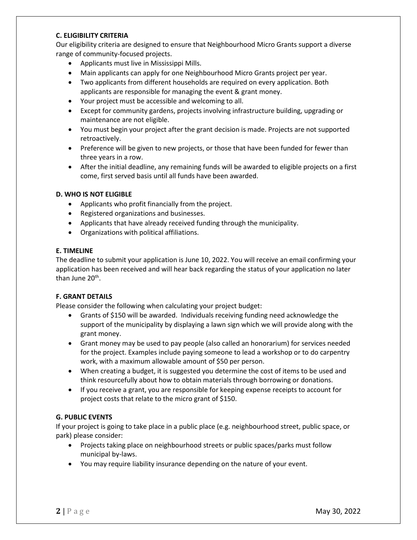#### **C. ELIGIBILITY CRITERIA**

Our eligibility criteria are designed to ensure that Neighbourhood Micro Grants support a diverse range of community-focused projects.

- Applicants must live in Mississippi Mills.
- Main applicants can apply for one Neighbourhood Micro Grants project per year.
- Two applicants from different households are required on every application. Both applicants are responsible for managing the event & grant money.
- Your project must be accessible and welcoming to all.
- Except for community gardens, projects involving infrastructure building, upgrading or maintenance are not eligible.
- You must begin your project after the grant decision is made. Projects are not supported retroactively.
- Preference will be given to new projects, or those that have been funded for fewer than three years in a row.
- After the initial deadline, any remaining funds will be awarded to eligible projects on a first come, first served basis until all funds have been awarded.

#### **D. WHO IS NOT ELIGIBLE**

- Applicants who profit financially from the project.
- Registered organizations and businesses.
- Applicants that have already received funding through the municipality.
- Organizations with political affiliations.

#### **E. TIMELINE**

The deadline to submit your application is June 10, 2022. You will receive an email confirming your application has been received and will hear back regarding the status of your application no later than June 20<sup>th</sup>.

#### **F. GRANT DETAILS**

Please consider the following when calculating your project budget:

- Grants of \$150 will be awarded. Individuals receiving funding need acknowledge the support of the municipality by displaying a lawn sign which we will provide along with the grant money.
- Grant money may be used to pay people (also called an honorarium) for services needed for the project. Examples include paying someone to lead a workshop or to do carpentry work, with a maximum allowable amount of \$50 per person.
- When creating a budget, it is suggested you determine the cost of items to be used and think resourcefully about how to obtain materials through borrowing or donations.
- If you receive a grant, you are responsible for keeping expense receipts to account for project costs that relate to the micro grant of \$150.

#### **G. PUBLIC EVENTS**

If your project is going to take place in a public place (e.g. neighbourhood street, public space, or park) please consider:

- Projects taking place on neighbourhood streets or public spaces/parks must follow municipal by-laws.
- You may require liability insurance depending on the nature of your event.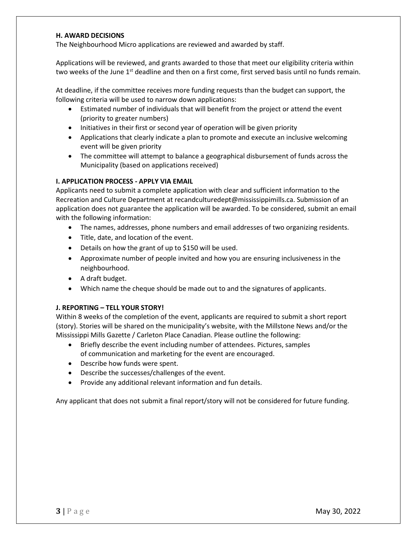#### **H. AWARD DECISIONS**

The Neighbourhood Micro applications are reviewed and awarded by staff.

Applications will be reviewed, and grants awarded to those that meet our eligibility criteria within two weeks of the June 1<sup>st</sup> deadline and then on a first come, first served basis until no funds remain.

At deadline, if the committee receives more funding requests than the budget can support, the following criteria will be used to narrow down applications:

- Estimated number of individuals that will benefit from the project or attend the event (priority to greater numbers)
- Initiatives in their first or second year of operation will be given priority
- Applications that clearly indicate a plan to promote and execute an inclusive welcoming event will be given priority
- The committee will attempt to balance a geographical disbursement of funds across the Municipality (based on applications received)

#### **I. APPLICATION PROCESS - APPLY VIA EMAIL**

Applicants need to submit a complete application with clear and sufficient information to the Recreation and Culture Department at recandculturedept@mississippimills.ca. Submission of an application does not guarantee the application will be awarded. To be considered, submit an email with the following information:

- The names, addresses, phone numbers and email addresses of two organizing residents.
- Title, date, and location of the event.
- Details on how the grant of up to \$150 will be used.
- Approximate number of people invited and how you are ensuring inclusiveness in the neighbourhood.
- A draft budget.
- Which name the cheque should be made out to and the signatures of applicants.

#### **J. REPORTING – TELL YOUR STORY!**

Within 8 weeks of the completion of the event, applicants are required to submit a short report (story). Stories will be shared on the municipality's website, with the Millstone News and/or the Mississippi Mills Gazette / Carleton Place Canadian. Please outline the following:

- Briefly describe the event including number of attendees. Pictures, samples of communication and marketing for the event are encouraged.
- Describe how funds were spent.
- Describe the successes/challenges of the event.
- Provide any additional relevant information and fun details.

Any applicant that does not submit a final report/story will not be considered for future funding.